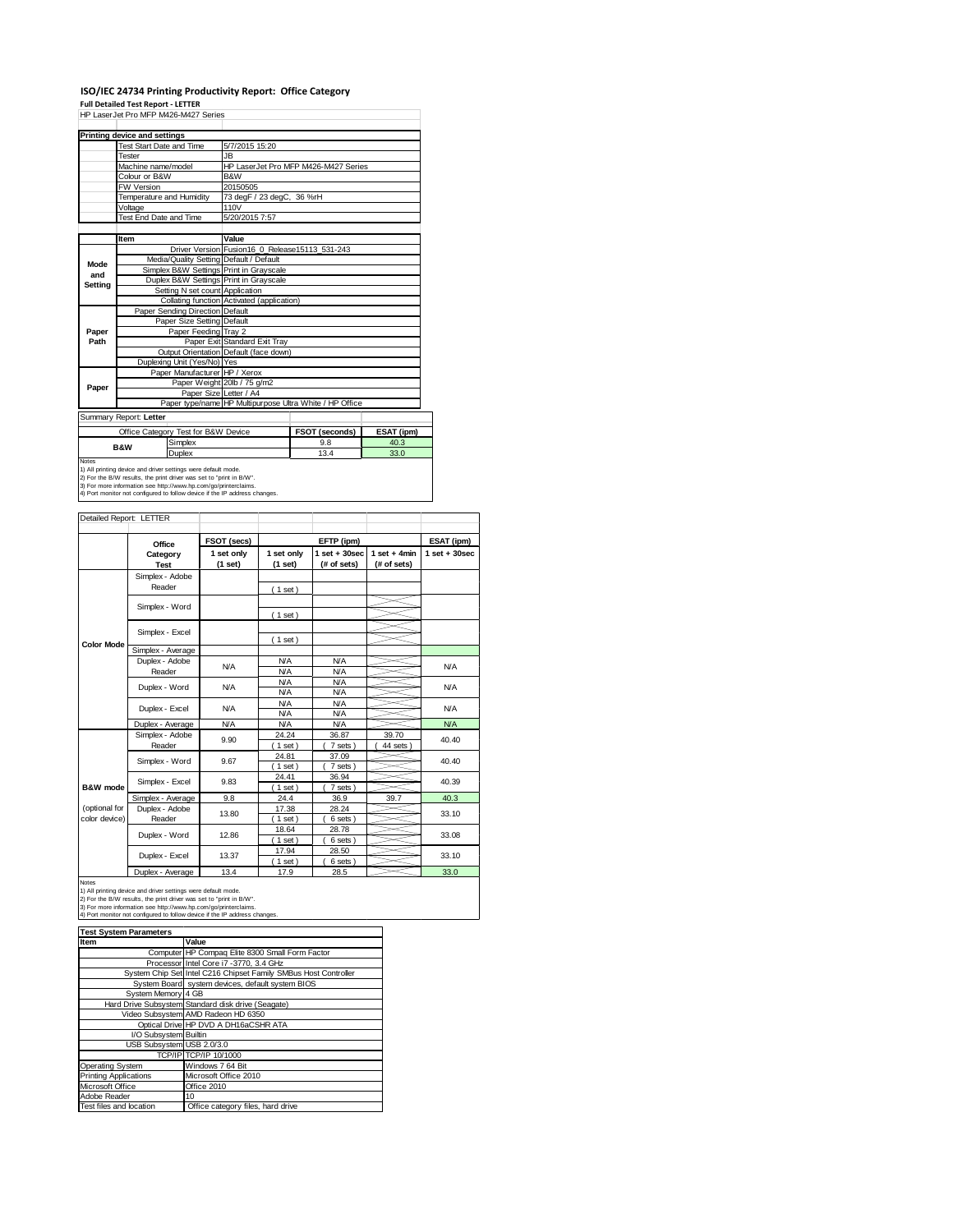# **ISO/IEC 24734 Printing Productivity Report: Office Category**

**Full Detailed Test Report ‐ LETTER** HP LaserJet Pro MFP M426-M427 Series

|         | <b>FIF LASEIJELFIU IVIFF IVI4ZO-IVI4Z / SEIIES</b>                                                                                   |                                                |                                                         |            |  |  |
|---------|--------------------------------------------------------------------------------------------------------------------------------------|------------------------------------------------|---------------------------------------------------------|------------|--|--|
|         | Printing device and settings                                                                                                         |                                                |                                                         |            |  |  |
|         | <b>Test Start Date and Time</b>                                                                                                      | 5/7/2015 15:20                                 |                                                         |            |  |  |
|         | Tester                                                                                                                               | <b>JB</b>                                      |                                                         |            |  |  |
|         | Machine name/model                                                                                                                   |                                                | HP LaserJet Pro MFP M426-M427 Series                    |            |  |  |
|         | Colour or B&W                                                                                                                        | B&W                                            |                                                         |            |  |  |
|         | <b>FW Version</b>                                                                                                                    | 20150505                                       |                                                         |            |  |  |
|         | Temperature and Humidity                                                                                                             | 73 degF / 23 degC, 36 %rH                      |                                                         |            |  |  |
|         | Voltage                                                                                                                              | 110V                                           |                                                         |            |  |  |
|         | Test End Date and Time                                                                                                               | 5/20/2015 7:57                                 |                                                         |            |  |  |
|         |                                                                                                                                      |                                                |                                                         |            |  |  |
|         | Item                                                                                                                                 | Value                                          |                                                         |            |  |  |
|         |                                                                                                                                      | Driver Version Fusion16 0 Release15113 531-243 |                                                         |            |  |  |
| Mode    | Media/Quality Setting Default / Default                                                                                              |                                                |                                                         |            |  |  |
| and     | Simplex B&W Settings Print in Grayscale                                                                                              |                                                |                                                         |            |  |  |
| Setting | Duplex B&W Settings Print in Grayscale                                                                                               |                                                |                                                         |            |  |  |
|         | Setting N set count Application                                                                                                      |                                                |                                                         |            |  |  |
|         |                                                                                                                                      | Collating function Activated (application)     |                                                         |            |  |  |
|         | Paper Sending Direction Default                                                                                                      |                                                |                                                         |            |  |  |
|         | Paper Size Setting Default                                                                                                           |                                                |                                                         |            |  |  |
| Paper   | Paper Feeding Tray 2                                                                                                                 |                                                |                                                         |            |  |  |
| Path    |                                                                                                                                      | Paper Exit Standard Exit Tray                  |                                                         |            |  |  |
|         |                                                                                                                                      | Output Orientation Default (face down)         |                                                         |            |  |  |
|         | Duplexing Unit (Yes/No) Yes                                                                                                          |                                                |                                                         |            |  |  |
|         | Paper Manufacturer HP / Xerox                                                                                                        |                                                |                                                         |            |  |  |
| Paper   |                                                                                                                                      | Paper Weight 20lb / 75 g/m2                    |                                                         |            |  |  |
|         |                                                                                                                                      | Paper Size Letter / A4                         |                                                         |            |  |  |
|         |                                                                                                                                      |                                                | Paper type/name HP Multipurpose Ultra White / HP Office |            |  |  |
|         | Summary Report: Letter                                                                                                               |                                                |                                                         |            |  |  |
|         | Office Category Test for B&W Device                                                                                                  |                                                | FSOT (seconds)                                          | ESAT (ipm) |  |  |
|         | Simplex<br><b>B&amp;W</b>                                                                                                            |                                                | 9.8                                                     | 40.3       |  |  |
|         | <b>Duplex</b>                                                                                                                        |                                                | 13.4                                                    | 33.0       |  |  |
| Notes   |                                                                                                                                      |                                                |                                                         |            |  |  |
|         | 1) All printing device and driver settings were default mode.<br>2) For the B/W results, the print driver was set to "print in B/W". |                                                |                                                         |            |  |  |
|         | 3) For more information see http://www.hp.com/go/printerclaims.                                                                      |                                                |                                                         |            |  |  |
|         | 4) Port monitor not configured to follow device if the IP address changes.                                                           |                                                |                                                         |            |  |  |

| Detailed Report: LETTER        |                           |                       |                          |                                  |                               |                   |
|--------------------------------|---------------------------|-----------------------|--------------------------|----------------------------------|-------------------------------|-------------------|
|                                | Office                    | FSOT (secs)           |                          | EFTP (ipm)                       |                               | ESAT (ipm)        |
|                                | Category<br><b>Test</b>   | 1 set only<br>(1 set) | 1 set only<br>(1 set)    | $1$ set $+30$ sec<br>(# of sets) | $1$ set + 4min<br>(# of sets) | $1$ set $+30$ sec |
|                                | Simplex - Adobe<br>Reader |                       | (1 set)                  |                                  |                               |                   |
|                                | Simplex - Word            |                       | (1 set)                  |                                  |                               |                   |
|                                | Simplex - Excel           |                       |                          |                                  |                               |                   |
| <b>Color Mode</b>              | Simplex - Average         |                       | (1 set)                  |                                  |                               |                   |
|                                | Duplex - Adobe<br>Reader  | N/A                   | <b>N/A</b><br><b>N/A</b> | <b>N/A</b><br><b>N/A</b>         |                               | <b>N/A</b>        |
|                                | Duplex - Word             | <b>N/A</b>            | <b>N/A</b><br><b>N/A</b> | <b>N/A</b><br><b>N/A</b>         |                               | <b>N/A</b>        |
|                                | Duplex - Excel            | N/A                   | <b>N/A</b><br><b>N/A</b> | <b>N/A</b><br><b>N/A</b>         |                               | <b>N/A</b>        |
|                                | Duplex - Average          | <b>N/A</b>            | <b>N/A</b>               | <b>N/A</b>                       |                               | <b>N/A</b>        |
|                                | Simplex - Adobe<br>Reader | 9.90                  | 24.24<br>$1$ set $)$     | 36.87<br>7 sets)                 | 39.70<br>44 sets              | 40.40             |
|                                | Simplex - Word            | 9.67                  | 24.81<br>$1$ set)        | 37.09<br>7 sets)                 |                               | 40.40             |
| B&W mode                       | Simplex - Excel           | 9.83                  | 24.41<br>$1$ set $)$     | 36.94<br>7 sets)                 |                               | 40.39             |
|                                | Simplex - Average         | 9.8                   | 24.4                     | 36.9                             | 39.7                          | 40.3              |
| (optional for<br>color device) | Duplex - Adobe<br>Reader  | 13.80                 | 17.38<br>$1$ set)        | 28.24<br>6 sets)                 |                               | 33.10             |
|                                | Duplex - Word             | 12.86                 | 18.64<br>$1$ set)        | 28.78<br>6 sets)                 |                               | 33.08             |
|                                | Duplex - Excel            | 13.37                 | 17.94<br>$1$ set)        | 28.50<br>6 sets)                 |                               | 33.10             |
|                                | Dowled Accessor           | $\overline{A}$        | 470                      | 00E                              |                               | 220               |

Notes<br>
Notes<br>
1) All printing device and driver settings were default mode.<br>
2) For the B/W results, the print driver was set to "print in B/W".<br>
2) For the B/W results, the print driver was set to "print in B/W".<br>
3) Fo

| <b>Test System Parameters</b> |                                                                 |  |
|-------------------------------|-----------------------------------------------------------------|--|
| Item                          | Value                                                           |  |
|                               | Computer HP Compaq Elite 8300 Small Form Factor                 |  |
|                               | Processor Intel Core i7 -3770, 3.4 GHz                          |  |
|                               | System Chip Set Intel C216 Chipset Family SMBus Host Controller |  |
|                               | System Board system devices, default system BIOS                |  |
| System Memory 4 GB            |                                                                 |  |
|                               | Hard Drive Subsystem Standard disk drive (Seagate)              |  |
|                               | Video Subsystem AMD Radeon HD 6350                              |  |
|                               | Optical Drive HP DVD A DH16aCSHR ATA                            |  |
| I/O Subsystem Builtin         |                                                                 |  |
| USB Subsystem USB 2.0/3.0     |                                                                 |  |
|                               | TCP/IP TCP/IP 10/1000                                           |  |
| Operating System              | Windows 7 64 Bit                                                |  |
| <b>Printing Applications</b>  | Microsoft Office 2010                                           |  |
| Microsoft Office              | Office 2010                                                     |  |
| Adobe Reader                  | 10                                                              |  |
| Test files and location       | Office category files, hard drive                               |  |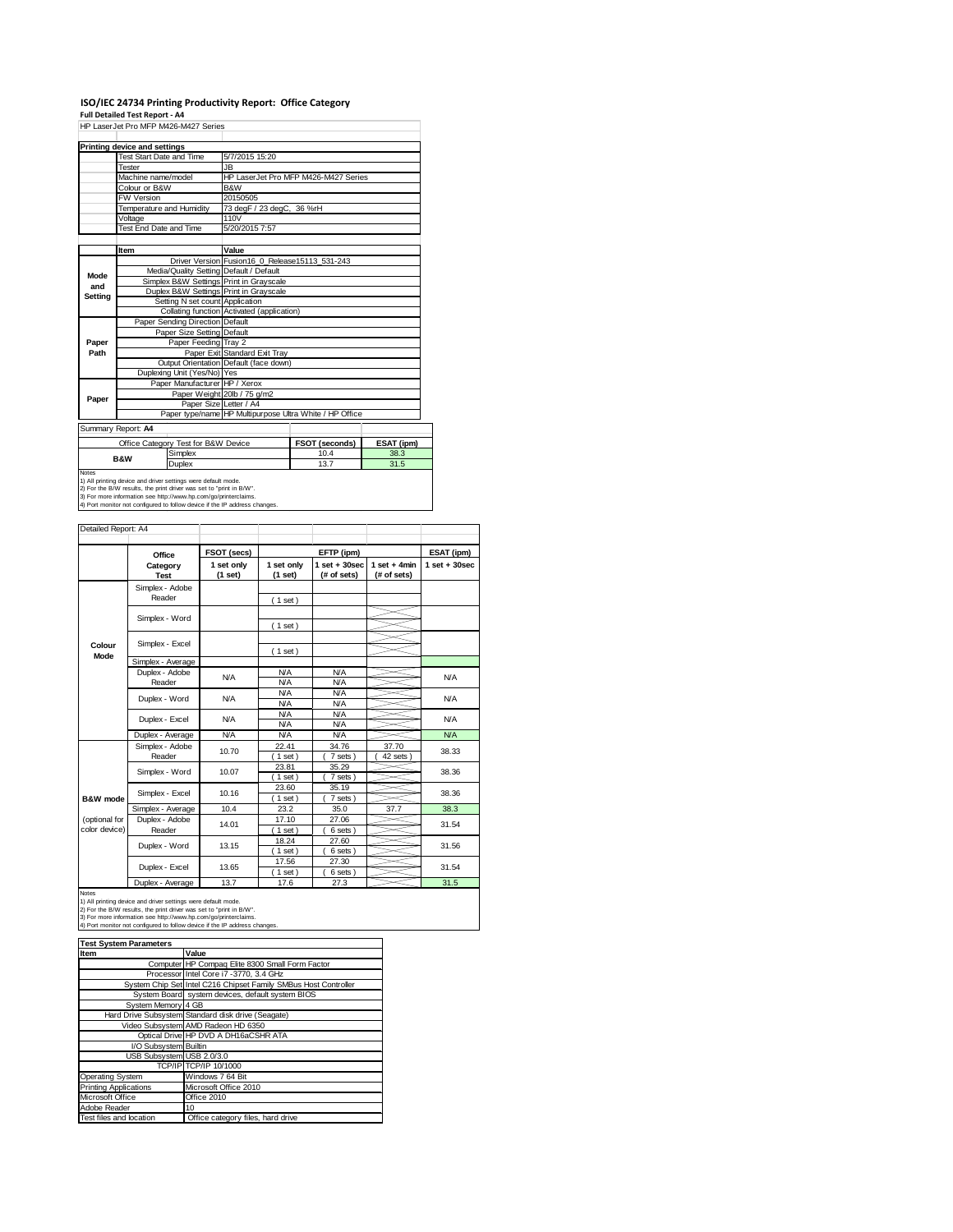# ISO/IEC 24734 Printing Productivity Report: Office Category<br>Full Detailed Test Report - A4<br>HP LaserJet Pro MFP M426-M427 Series

|              |                                                               | HP LaserJet Pro MFP M426-M427 Series |                                                |                                                         |            |  |
|--------------|---------------------------------------------------------------|--------------------------------------|------------------------------------------------|---------------------------------------------------------|------------|--|
|              | Printing device and settings                                  |                                      |                                                |                                                         |            |  |
|              | <b>Test Start Date and Time</b>                               |                                      | 5/7/2015 15:20                                 |                                                         |            |  |
|              | Tester                                                        |                                      | JB.                                            |                                                         |            |  |
|              | Machine name/model                                            |                                      |                                                | HP LaserJet Pro MFP M426-M427 Series                    |            |  |
|              | Colour or B&W                                                 |                                      | B&W                                            |                                                         |            |  |
|              | <b>FW Version</b>                                             |                                      | 20150505                                       |                                                         |            |  |
|              | Temperature and Humidity                                      |                                      | 73 degF / 23 degC, 36 %rH                      |                                                         |            |  |
|              | Voltage                                                       |                                      | 110V                                           |                                                         |            |  |
|              | Test End Date and Time                                        |                                      | 5/20/2015 7:57                                 |                                                         |            |  |
|              |                                                               |                                      |                                                |                                                         |            |  |
|              | Item                                                          |                                      | Value                                          |                                                         |            |  |
|              |                                                               |                                      | Driver Version Fusion16_0_Release15113_531-243 |                                                         |            |  |
| Mode         |                                                               |                                      | Media/Quality Setting Default / Default        |                                                         |            |  |
| and          |                                                               |                                      | Simplex B&W Settings Print in Grayscale        |                                                         |            |  |
| Setting      |                                                               |                                      | Duplex B&W Settings Print in Grayscale         |                                                         |            |  |
|              |                                                               | Setting N set count Application      |                                                |                                                         |            |  |
|              |                                                               |                                      | Collating function Activated (application)     |                                                         |            |  |
|              |                                                               | Paper Sending Direction Default      |                                                |                                                         |            |  |
|              |                                                               | Paper Size Setting Default           |                                                |                                                         |            |  |
| Paper        |                                                               | Paper Feeding Tray 2                 |                                                |                                                         |            |  |
| Path         |                                                               |                                      | Paper Exit Standard Exit Tray                  |                                                         |            |  |
|              |                                                               |                                      | Output Orientation Default (face down)         |                                                         |            |  |
|              |                                                               | Duplexing Unit (Yes/No) Yes          |                                                |                                                         |            |  |
|              |                                                               | Paper Manufacturer HP / Xerox        |                                                |                                                         |            |  |
| Paper        |                                                               |                                      | Paper Weight 20lb / 75 g/m2                    |                                                         |            |  |
|              |                                                               | Paper Size Letter / A4               |                                                |                                                         |            |  |
|              |                                                               |                                      |                                                | Paper type/name HP Multipurpose Ultra White / HP Office |            |  |
|              | Summary Report: A4                                            |                                      |                                                |                                                         |            |  |
|              |                                                               | Office Category Test for B&W Device  |                                                | FSOT (seconds)                                          | ESAT (ipm) |  |
|              |                                                               | Simplex                              |                                                | 10.4                                                    | 38.3       |  |
|              | <b>B&amp;W</b>                                                | Duplex                               |                                                | 13.7                                                    | 31.5       |  |
| <b>Notes</b> | 1) All printing device and driver settings were default mode. |                                      |                                                |                                                         |            |  |

1) All printing device and driver settings were default mode.<br>2) For the B/W results, the print driver was set to "print in B/W".<br>3) For more information see http://www.hp.com/go/printerclaims.<br>4) Port monitor not configur

| Detailed Report: A4            |                           |                       |                          |                                  |                               |                   |
|--------------------------------|---------------------------|-----------------------|--------------------------|----------------------------------|-------------------------------|-------------------|
|                                | Office                    | FSOT (secs)           |                          | EFTP (ipm)                       |                               | ESAT (ipm)        |
|                                | Category<br><b>Test</b>   | 1 set only<br>(1 set) | 1 set only<br>(1 set)    | $1$ set $+30$ sec<br>(# of sets) | $1$ set + 4min<br>(# of sets) | $1$ set $+30$ sec |
|                                | Simplex - Adobe<br>Reader |                       | (1 set)                  |                                  |                               |                   |
|                                | Simplex - Word            |                       | (1 set)                  |                                  |                               |                   |
| Colour<br>Mode                 | Simplex - Excel           |                       | $1$ set)                 |                                  |                               |                   |
|                                | Simplex - Average         |                       |                          |                                  |                               |                   |
|                                | Duplex - Adobe<br>Reader  | <b>N/A</b>            | <b>N/A</b><br><b>N/A</b> | <b>N/A</b><br><b>N/A</b>         |                               | <b>N/A</b>        |
|                                | Duplex - Word             | <b>N/A</b>            | <b>N/A</b><br><b>N/A</b> | <b>N/A</b><br><b>N/A</b>         |                               | <b>N/A</b>        |
|                                | Duplex - Excel            | N/A                   | <b>N/A</b><br><b>N/A</b> | <b>N/A</b><br><b>N/A</b>         |                               | <b>N/A</b>        |
|                                | Duplex - Average          | <b>N/A</b>            | <b>N/A</b>               | <b>N/A</b>                       |                               | <b>N/A</b>        |
|                                | Simplex - Adobe<br>Reader | 10.70                 | 22.41<br>$1$ set)        | 34.76<br>7 sets                  | 37.70<br>42 sets              | 38.33             |
|                                | Simplex - Word            | 10.07                 | 23.81<br>$1$ set)        | 35.29<br>7 sets)                 |                               | 38.36             |
| B&W mode                       | Simplex - Excel           | 10.16                 | 23.60<br>$1$ set)        | 35.19<br>7 sets)                 |                               | 38.36             |
|                                | Simplex - Average         | 10.4                  | 23.2                     | 35.0                             | 37.7                          | 38.3              |
| (optional for<br>color device) | Duplex - Adobe<br>Reader  | 14.01                 | 17.10<br>1 set)          | 27.06<br>6 sets)                 |                               | 31.54             |
|                                | Duplex - Word             | 13.15                 | 18.24<br>$1$ set)        | 27.60<br>6 sets)                 |                               | 31.56             |
|                                | Duplex - Excel            | 13.65                 | 17.56<br>$1$ set)        | 27.30<br>6 sets                  |                               | 31.54             |
|                                | Duplex - Average          | 13.7                  | 17.6                     | 27.3                             |                               | 31.5              |

Notes<br>1) All printing device and driver settings were default mode.<br>2) For the B/W results, the print driver was set to "print in B/W".<br>3) For more information see http://www.hp.com/go/printerclaims.<br>4) Port monitor not co

| <b>Test System Parameters</b> |                                                                 |  |  |  |
|-------------------------------|-----------------------------------------------------------------|--|--|--|
| Item                          | Value                                                           |  |  |  |
|                               | Computer HP Compaq Elite 8300 Small Form Factor                 |  |  |  |
|                               | Processor Intel Core i7 -3770, 3.4 GHz                          |  |  |  |
|                               | System Chip Set Intel C216 Chipset Family SMBus Host Controller |  |  |  |
|                               | System Board system devices, default system BIOS                |  |  |  |
| System Memory 4 GB            |                                                                 |  |  |  |
|                               | Hard Drive Subsystem Standard disk drive (Seagate)              |  |  |  |
|                               | Video Subsystem AMD Radeon HD 6350                              |  |  |  |
|                               | Optical Drive HP DVD A DH16aCSHR ATA                            |  |  |  |
| I/O Subsystem Builtin         |                                                                 |  |  |  |
| USB Subsystem USB 2.0/3.0     |                                                                 |  |  |  |
|                               | TCP/IP TCP/IP 10/1000                                           |  |  |  |
| <b>Operating System</b>       | Windows 7 64 Bit                                                |  |  |  |
| <b>Printing Applications</b>  | Microsoft Office 2010                                           |  |  |  |
| Microsoft Office              | Office 2010                                                     |  |  |  |
| Adobe Reader                  | 10                                                              |  |  |  |
| Test files and location       | Office category files, hard drive                               |  |  |  |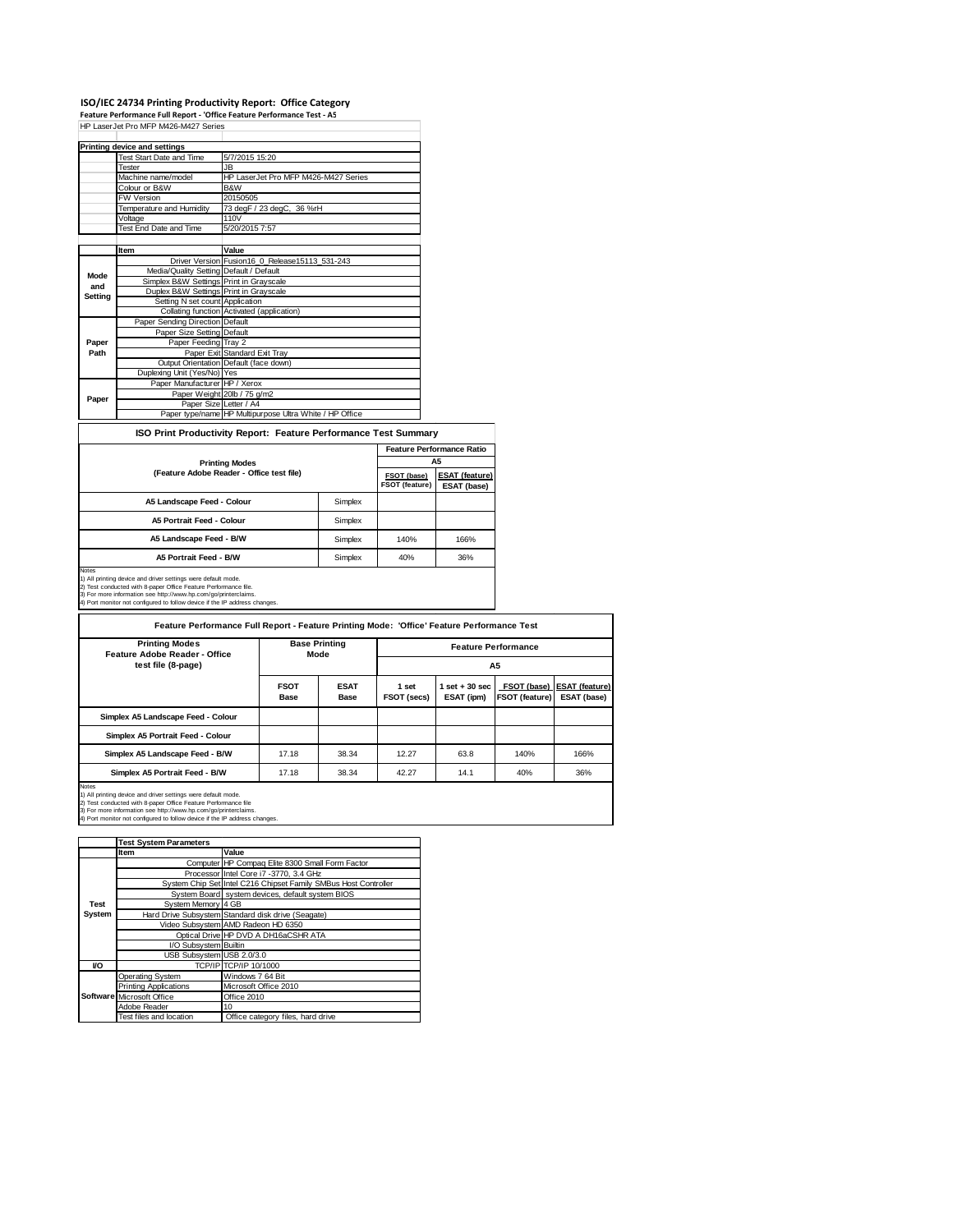# ISO/IEC 24734 Printing Productivity Report: Office Category<br>Feature Performance Full Report - 'Office Feature Performance Test - A5<br>HP LaserJet Pro MFP M426-M427 Series

|                                                                 | <b>Printing device and settings</b>     |                                                         |                                  |  |  |  |
|-----------------------------------------------------------------|-----------------------------------------|---------------------------------------------------------|----------------------------------|--|--|--|
|                                                                 | Test Start Date and Time                | 5/7/2015 15:20                                          |                                  |  |  |  |
|                                                                 | Tester                                  | JB.                                                     |                                  |  |  |  |
|                                                                 | Machine name/model                      | HP LaserJet Pro MFP M426-M427 Series                    |                                  |  |  |  |
|                                                                 | Colour or B&W                           | B&W                                                     |                                  |  |  |  |
|                                                                 | <b>FW Version</b>                       | 20150505                                                |                                  |  |  |  |
|                                                                 | Temperature and Humidity                | 73 degF / 23 degC, 36 %rH                               |                                  |  |  |  |
|                                                                 | Voltage                                 | 110V                                                    |                                  |  |  |  |
|                                                                 | <b>Test End Date and Time</b>           | 5/20/2015 7:57                                          |                                  |  |  |  |
|                                                                 |                                         |                                                         |                                  |  |  |  |
|                                                                 | Item                                    | Value                                                   |                                  |  |  |  |
|                                                                 |                                         | Driver Version Fusion16_0_Release15113_531-243          |                                  |  |  |  |
| Mode                                                            | Media/Quality Setting Default / Default |                                                         |                                  |  |  |  |
| and                                                             | Simplex B&W Settings Print in Grayscale |                                                         |                                  |  |  |  |
| Setting                                                         | Duplex B&W Settings Print in Grayscale  |                                                         |                                  |  |  |  |
|                                                                 | Setting N set count Application         |                                                         |                                  |  |  |  |
|                                                                 |                                         | Collating function Activated (application)              |                                  |  |  |  |
|                                                                 | Paper Sending Direction Default         |                                                         |                                  |  |  |  |
|                                                                 | Paper Size Setting Default              |                                                         |                                  |  |  |  |
| Paper                                                           | Paper Feeding Tray 2                    |                                                         |                                  |  |  |  |
| Path                                                            |                                         | Paper Exit Standard Exit Tray                           |                                  |  |  |  |
|                                                                 |                                         | Output Orientation Default (face down)                  |                                  |  |  |  |
|                                                                 | Duplexing Unit (Yes/No) Yes             |                                                         |                                  |  |  |  |
|                                                                 | Paper Manufacturer HP / Xerox           |                                                         |                                  |  |  |  |
| Paper                                                           |                                         | Paper Weight 20lb / 75 g/m2                             |                                  |  |  |  |
|                                                                 | Paper Size Letter / A4                  |                                                         |                                  |  |  |  |
|                                                                 |                                         | Paper type/name HP Multipurpose Ultra White / HP Office |                                  |  |  |  |
| ISO Print Productivity Report: Feature Performance Test Summary |                                         |                                                         |                                  |  |  |  |
|                                                                 |                                         |                                                         | <b>Feature Performance Ratio</b> |  |  |  |
|                                                                 | <b>Printing Modes</b>                   | A5                                                      |                                  |  |  |  |

| Printing Modes                            | ---                           |                                      |      |
|-------------------------------------------|-------------------------------|--------------------------------------|------|
| (Feature Adobe Reader - Office test file) | FSOT (base)<br>FSOT (feature) | <b>ESAT (feature)</b><br>ESAT (base) |      |
| A5 Landscape Feed - Colour                | Simplex                       |                                      |      |
| A5 Portrait Feed - Colour                 | Simplex                       |                                      |      |
| A5 Landscape Feed - B/W                   | Simplex                       | 140%                                 | 166% |
| A5 Portrait Feed - B/W                    | Simplex                       | 40%                                  | 36%  |
| Notes                                     |                               |                                      |      |

Notes<br>1) All printing device and driver settings were default mode.<br>2) Test conducted with 8-paper Office Feature Performance file.<br>3) For more information see http://www.hp.com/go/printerclaims.<br>4) Port monitor not config

| <b>Printing Modes</b><br>Feature Adobe Reader - Office                                                                                                                                                                                                                                    | <b>Base Printing</b><br>Mode<br><b>FSOT</b><br><b>ESAT</b><br><b>Base</b><br><b>Base</b> |       | <b>Feature Performance</b><br>A5 |                                 |      |                                                               |
|-------------------------------------------------------------------------------------------------------------------------------------------------------------------------------------------------------------------------------------------------------------------------------------------|------------------------------------------------------------------------------------------|-------|----------------------------------|---------------------------------|------|---------------------------------------------------------------|
| test file (8-page)                                                                                                                                                                                                                                                                        |                                                                                          |       | 1 set<br>FSOT (secs)             | $1$ set $+30$ sec<br>ESAT (ipm) |      | FSOT (base)   ESAT (feature)<br>FSOT (feature)<br>ESAT (base) |
| Simplex A5 Landscape Feed - Colour                                                                                                                                                                                                                                                        |                                                                                          |       |                                  |                                 |      |                                                               |
| Simplex A5 Portrait Feed - Colour                                                                                                                                                                                                                                                         |                                                                                          |       |                                  |                                 |      |                                                               |
| Simplex A5 Landscape Feed - B/W                                                                                                                                                                                                                                                           | 17.18                                                                                    | 38.34 | 12.27                            | 63.8                            | 140% | 166%                                                          |
| Simplex A5 Portrait Feed - B/W                                                                                                                                                                                                                                                            | 17.18                                                                                    | 38.34 | 42.27                            | 14.1                            | 40%  | 36%                                                           |
| Notes<br>1) All printing device and driver settings were default mode.<br>2) Test conducted with 8-paper Office Feature Performance file<br>3) For more information see http://www.hp.com/go/printerclaims.<br>4) Port monitor not configured to follow device if the IP address changes. |                                                                                          |       |                                  |                                 |      |                                                               |

٦

|        | <b>Test System Parameters</b> |                                                                 |  |
|--------|-------------------------------|-----------------------------------------------------------------|--|
|        | Item                          | Value                                                           |  |
|        |                               | Computer HP Compaq Elite 8300 Small Form Factor                 |  |
|        |                               | Processor Intel Core i7 -3770, 3.4 GHz                          |  |
|        |                               | System Chip Set Intel C216 Chipset Family SMBus Host Controller |  |
|        |                               | System Board system devices, default system BIOS                |  |
| Test   | System Memory 4 GB            |                                                                 |  |
| System |                               | Hard Drive Subsystem Standard disk drive (Seagate)              |  |
|        |                               | Video Subsystem AMD Radeon HD 6350                              |  |
|        |                               | Optical Drive HP DVD A DH16aCSHR ATA                            |  |
|        | I/O Subsystem Builtin         |                                                                 |  |
|        | USB Subsystem USB 2.0/3.0     |                                                                 |  |
| VO     |                               | TCP/IP TCP/IP 10/1000                                           |  |
|        | <b>Operating System</b>       | Windows 7 64 Bit                                                |  |
|        | <b>Printing Applications</b>  | Microsoft Office 2010                                           |  |
|        | Software Microsoft Office     | Office 2010                                                     |  |
|        | Adobe Reader                  | 10                                                              |  |
|        | Test files and location       | Office category files, hard drive                               |  |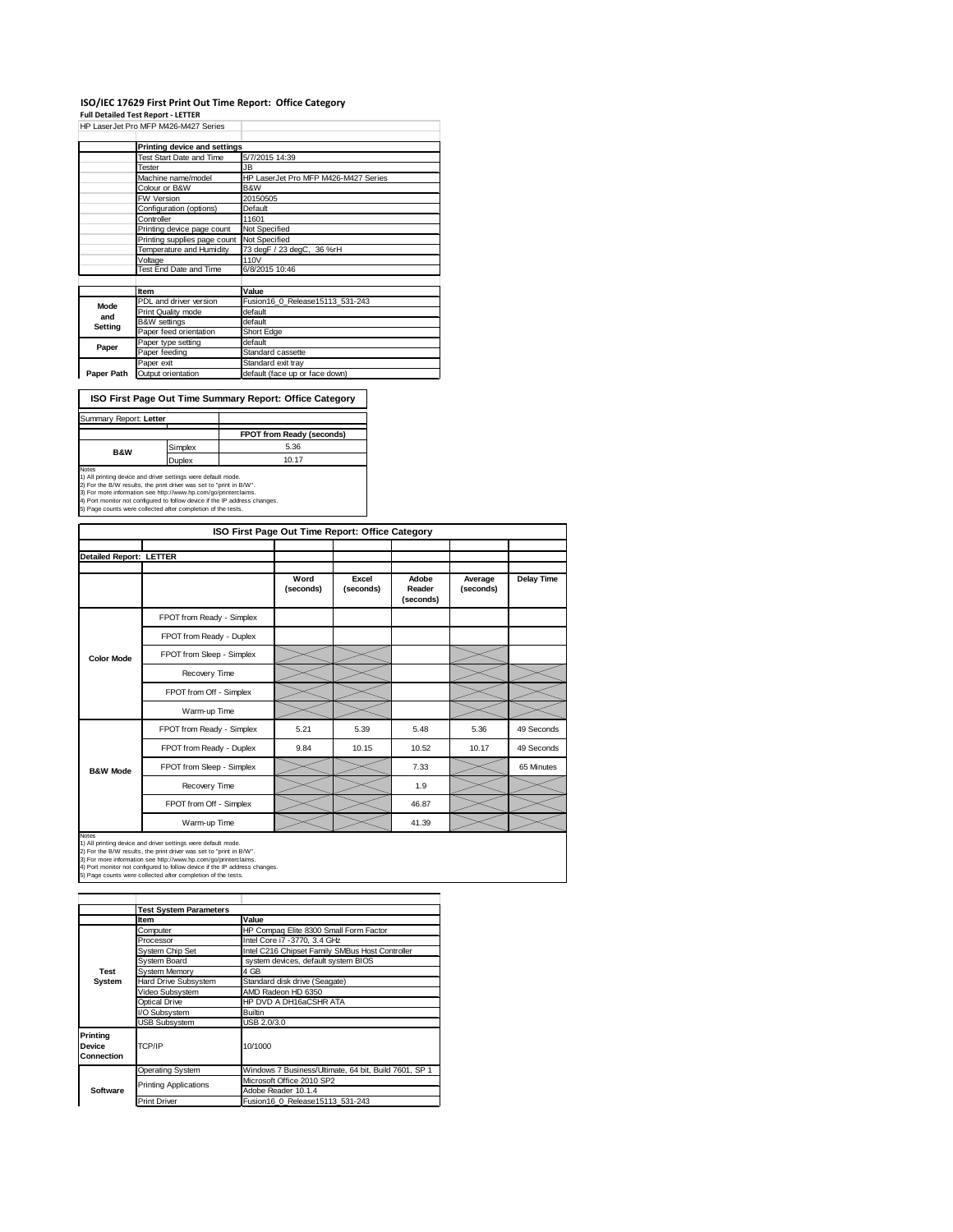### **ISO/IEC 17629 First Print Out Time Report: Office Category**

**Full Detailed Test Report ‐ LETTER**

|            | HP LaserJet Pro MFP M426-M427 Series |                                      |
|------------|--------------------------------------|--------------------------------------|
|            | Printing device and settings         |                                      |
|            | Test Start Date and Time             | 5/7/2015 14:39                       |
|            | Tester                               | JB.                                  |
|            | Machine name/model                   | HP LaserJet Pro MFP M426-M427 Series |
|            | Colour or B&W                        | B&W                                  |
|            | <b>FW Version</b>                    | 20150505                             |
|            | Configuration (options)              | Default                              |
|            | Controller                           | 11601                                |
|            | Printing device page count           | Not Specified                        |
|            | Printing supplies page count         | Not Specified                        |
|            | Temperature and Humidity             | 73 degF / 23 degC, 36 %rH            |
|            | Voltage                              | 110V                                 |
|            | Test End Date and Time               | 6/8/2015 10:46                       |
|            |                                      |                                      |
|            | Item                                 | Value                                |
| Mode       | PDL and driver version               | Fusion16 0 Release15113 531-243      |
| and        | Print Quality mode                   | default                              |
| Setting    | <b>B&amp;W</b> settings              | default                              |
|            | Paper feed orientation               | Short Edge                           |
| Paper      | Paper type setting                   | default                              |
|            | Paper feeding                        | Standard cassette                    |
|            | Paper exit                           | Standard exit tray                   |
| Paper Path | Output orientation                   | default (face up or face down)       |

**ISO First Page Out Time Summary Report: Office Category**

| Summary Report: Letter |         |                           |
|------------------------|---------|---------------------------|
|                        |         | FPOT from Ready (seconds) |
| <b>B&amp;W</b>         | Simplex | 5.36                      |
|                        | Duplex  | 10.17                     |
| Notes                  |         |                           |

Notes<br>1) All printing device and driver settings were default mode.<br>2) For the B/W results, the print driver was set to "print in B/W".<br>3) For more information see http://www.hp.com/go/printerclaims.<br>4) Port monitor not co

|                                | ISO First Page Out Time Report: Office Category |                   |                    |                              |                      |            |  |  |
|--------------------------------|-------------------------------------------------|-------------------|--------------------|------------------------------|----------------------|------------|--|--|
| <b>Detailed Report: LETTER</b> |                                                 |                   |                    |                              |                      |            |  |  |
|                                |                                                 | Word<br>(seconds) | Excel<br>(seconds) | Adobe<br>Reader<br>(seconds) | Average<br>(seconds) | Delay Time |  |  |
|                                | FPOT from Ready - Simplex                       |                   |                    |                              |                      |            |  |  |
|                                | FPOT from Ready - Duplex                        |                   |                    |                              |                      |            |  |  |
| <b>Color Mode</b>              | FPOT from Sleep - Simplex                       |                   |                    |                              |                      |            |  |  |
|                                | Recovery Time                                   |                   |                    |                              |                      |            |  |  |
|                                | FPOT from Off - Simplex                         |                   |                    |                              |                      |            |  |  |
|                                | Warm-up Time                                    |                   |                    |                              |                      |            |  |  |
|                                | FPOT from Ready - Simplex                       | 5.21              | 5.39               | 5.48                         | 5.36                 | 49 Seconds |  |  |
|                                | FPOT from Ready - Duplex                        | 9.84              | 10.15              | 10.52                        | 10.17                | 49 Seconds |  |  |
| <b>B&amp;W Mode</b>            | FPOT from Sleep - Simplex                       |                   |                    | 7.33                         |                      | 65 Minutes |  |  |
|                                | Recovery Time                                   |                   |                    | 1.9                          |                      |            |  |  |
|                                | FPOT from Off - Simplex                         |                   |                    | 46.87                        |                      |            |  |  |
|                                | Warm-up Time                                    |                   |                    | 41.39                        |                      |            |  |  |

Notes<br>1) All printing device and driver settings were default mode.<br>2) For the B/W results, the print driver was set to "print in B/W".<br>3) For more information see http://www.hp.com/go/printerclaims.<br>4) Port monitor not co

|                                      | <b>Test System Parameters</b> |                                                       |  |
|--------------------------------------|-------------------------------|-------------------------------------------------------|--|
|                                      | <b>Item</b>                   | Value                                                 |  |
|                                      | Computer                      | HP Compaq Elite 8300 Small Form Factor                |  |
|                                      | Processor                     | Intel Core i7 -3770, 3.4 GHz                          |  |
|                                      | System Chip Set               | Intel C216 Chipset Family SMBus Host Controller       |  |
|                                      | System Board                  | system devices, default system BIOS                   |  |
| Test<br><b>System Memory</b><br>4 GB |                               |                                                       |  |
| System                               | Hard Drive Subsystem          | Standard disk drive (Seagate)                         |  |
|                                      | Video Subsystem               | AMD Radeon HD 6350                                    |  |
|                                      | Optical Drive                 | HP DVD A DH16aCSHR ATA                                |  |
|                                      | I/O Subsystem                 | <b>Builtin</b>                                        |  |
|                                      | <b>USB Subsystem</b>          | USB 2.0/3.0                                           |  |
| Printing<br>Device<br>Connection     | TCP/IP                        | 10/1000                                               |  |
|                                      | <b>Operating System</b>       | Windows 7 Business/Ultimate, 64 bit, Build 7601, SP 1 |  |
|                                      |                               | Microsoft Office 2010 SP2                             |  |
| Software                             | <b>Printing Applications</b>  | Adobe Reader 10.1.4                                   |  |
|                                      | <b>Print Driver</b>           | Fusion16 0 Release15113 531-243                       |  |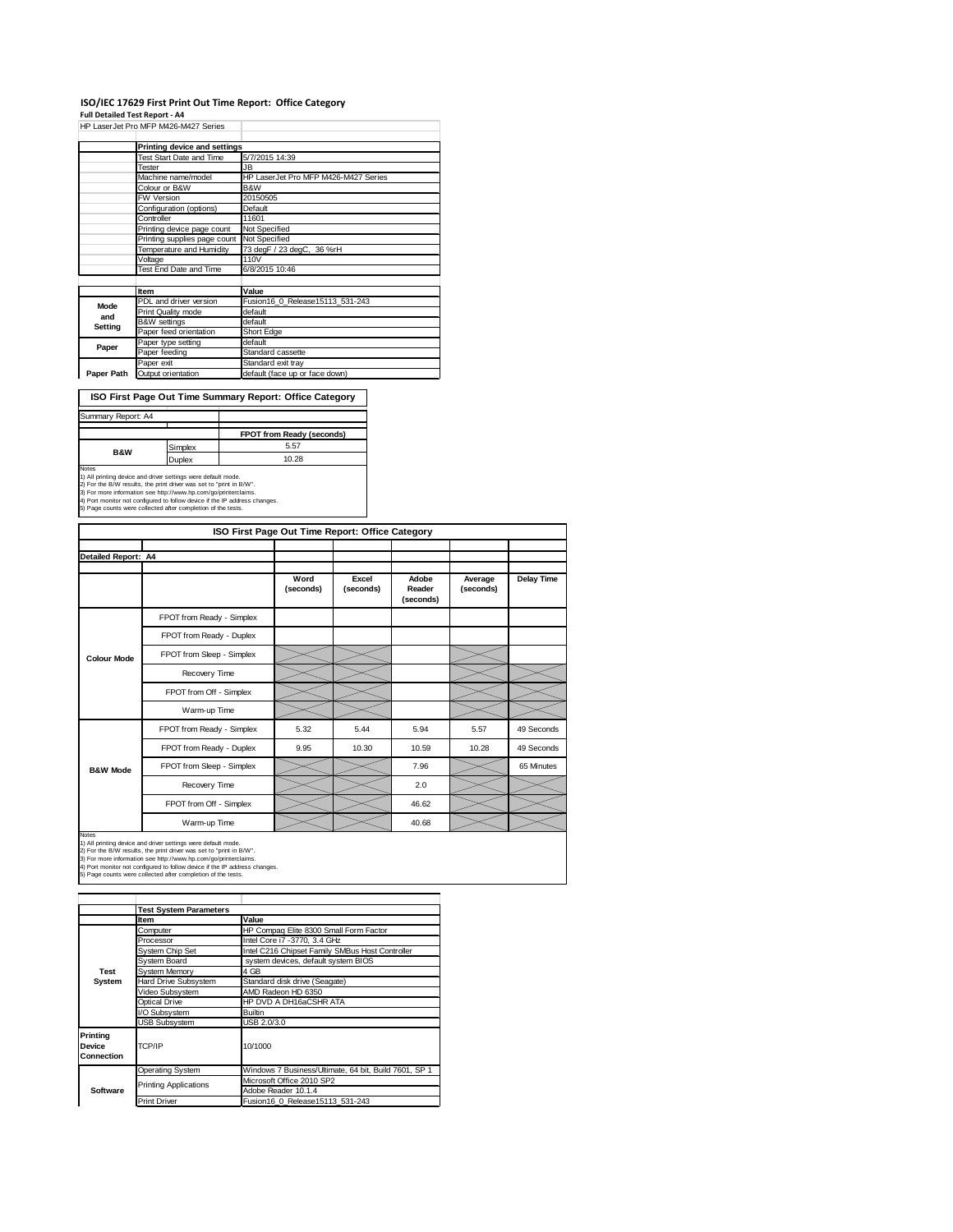### **ISO/IEC 17629 First Print Out Time Report: Office Category**

**Full Detailed Test Report ‐ A4**

|            | HP LaserJet Pro MFP M426-M427 Series |                                      |
|------------|--------------------------------------|--------------------------------------|
|            | Printing device and settings         |                                      |
|            | Test Start Date and Time             | 5/7/2015 14:39                       |
|            | Tester                               | JB.                                  |
|            | Machine name/model                   | HP LaserJet Pro MFP M426-M427 Series |
|            | Colour or B&W                        | B&W                                  |
|            | FW Version                           | 20150505                             |
|            | Configuration (options)              | Default                              |
|            | Controller                           | 11601                                |
|            | Printing device page count           | Not Specified                        |
|            | Printing supplies page count         | Not Specified                        |
|            | Temperature and Humidity             | 73 degF / 23 degC, 36 %rH            |
|            | Voltage                              | 110V                                 |
|            | Test End Date and Time               | 6/8/2015 10:46                       |
|            |                                      |                                      |
|            | Item                                 | Value                                |
| Mode       | PDL and driver version               | Fusion16 0 Release15113 531-243      |
| and        | Print Quality mode                   | default                              |
| Setting    | <b>B&amp;W</b> settings              | default                              |
|            | Paper feed orientation               | Short Edge                           |
| Paper      | Paper type setting                   | default                              |
|            | Paper feeding                        | Standard cassette                    |
|            | Paper exit                           | Standard exit tray                   |
| Paper Path | Output orientation                   | default (face up or face down)       |

**ISO First Page Out Time Summary Report: Office Category**

| Summary Report: A4                                                           |                                                                                                                                                                                                                                                                                       |                           |  |  |  |
|------------------------------------------------------------------------------|---------------------------------------------------------------------------------------------------------------------------------------------------------------------------------------------------------------------------------------------------------------------------------------|---------------------------|--|--|--|
|                                                                              |                                                                                                                                                                                                                                                                                       |                           |  |  |  |
|                                                                              |                                                                                                                                                                                                                                                                                       | FPOT from Ready (seconds) |  |  |  |
| <b>B&amp;W</b>                                                               | Simplex                                                                                                                                                                                                                                                                               | 5.57                      |  |  |  |
|                                                                              | Duplex                                                                                                                                                                                                                                                                                | 10.28                     |  |  |  |
| <b>Notes</b><br>5) Page counts were collected after completion of the tests. | 1) All printing device and driver settings were default mode.<br>2) For the B/W results, the print driver was set to "print in B/W".<br>3) For more information see http://www.hp.com/go/printerclaims.<br>4) Port monitor not configured to follow device if the IP address changes. |                           |  |  |  |

| ISO First Page Out Time Report: Office Category |                           |                   |                    |                              |                      |            |  |
|-------------------------------------------------|---------------------------|-------------------|--------------------|------------------------------|----------------------|------------|--|
|                                                 |                           |                   |                    |                              |                      |            |  |
| Detailed Report: A4                             |                           |                   |                    |                              |                      |            |  |
|                                                 |                           | Word<br>(seconds) | Excel<br>(seconds) | Adobe<br>Reader<br>(seconds) | Average<br>(seconds) | Delay Time |  |
|                                                 | FPOT from Ready - Simplex |                   |                    |                              |                      |            |  |
|                                                 | FPOT from Ready - Duplex  |                   |                    |                              |                      |            |  |
| <b>Colour Mode</b>                              | FPOT from Sleep - Simplex |                   |                    |                              |                      |            |  |
|                                                 | Recovery Time             |                   |                    |                              |                      |            |  |
|                                                 | FPOT from Off - Simplex   |                   |                    |                              |                      |            |  |
|                                                 | Warm-up Time              |                   |                    |                              |                      |            |  |
|                                                 | FPOT from Ready - Simplex | 5.32              | 5.44               | 5.94                         | 5.57                 | 49 Seconds |  |
|                                                 | FPOT from Ready - Duplex  | 9.95              | 10.30              | 10.59                        | 10.28                | 49 Seconds |  |
| <b>B&amp;W Mode</b>                             | FPOT from Sleep - Simplex |                   |                    | 7.96                         |                      | 65 Minutes |  |
|                                                 | Recovery Time             |                   |                    | 2.0                          |                      |            |  |
|                                                 | FPOT from Off - Simplex   |                   |                    | 46.62                        |                      |            |  |
|                                                 | Warm-up Time              |                   |                    | 40.68                        |                      |            |  |

Notes<br>1) All printing device and driver settings were default mode.<br>2) For the B/W results, the print driver was set to "print in B/W".<br>3) For more information see http://www.hp.com/go/printerclaims.<br>4) Port monitor not co

|                                  | <b>Test System Parameters</b> |                                                       |
|----------------------------------|-------------------------------|-------------------------------------------------------|
|                                  | Item                          | Value                                                 |
|                                  | Computer                      | HP Compaq Elite 8300 Small Form Factor                |
|                                  | Processor                     | Intel Core i7 -3770, 3.4 GHz                          |
|                                  | <b>System Chip Set</b>        | Intel C216 Chipset Family SMBus Host Controller       |
|                                  | System Board                  | system devices, default system BIOS                   |
| <b>Test</b>                      | <b>System Memory</b>          | 4 GB                                                  |
| System                           | Hard Drive Subsystem          | Standard disk drive (Seagate)                         |
|                                  | Video Subsystem               | AMD Radeon HD 6350                                    |
|                                  | <b>Optical Drive</b>          | HP DVD A DH16aCSHR ATA                                |
|                                  | I/O Subsystem                 | <b>Builtin</b>                                        |
|                                  | <b>USB Subsystem</b>          | USB 2.0/3.0                                           |
| Printina<br>Device<br>Connection | TCP/IP                        | 10/1000                                               |
|                                  | Operating System              | Windows 7 Business/Ultimate, 64 bit, Build 7601, SP 1 |
|                                  |                               | Microsoft Office 2010 SP2                             |
| Software                         | <b>Printing Applications</b>  | Adobe Reader 10.1.4                                   |
|                                  | <b>Print Driver</b>           | Fusion16 0 Release15113 531-243                       |
|                                  |                               |                                                       |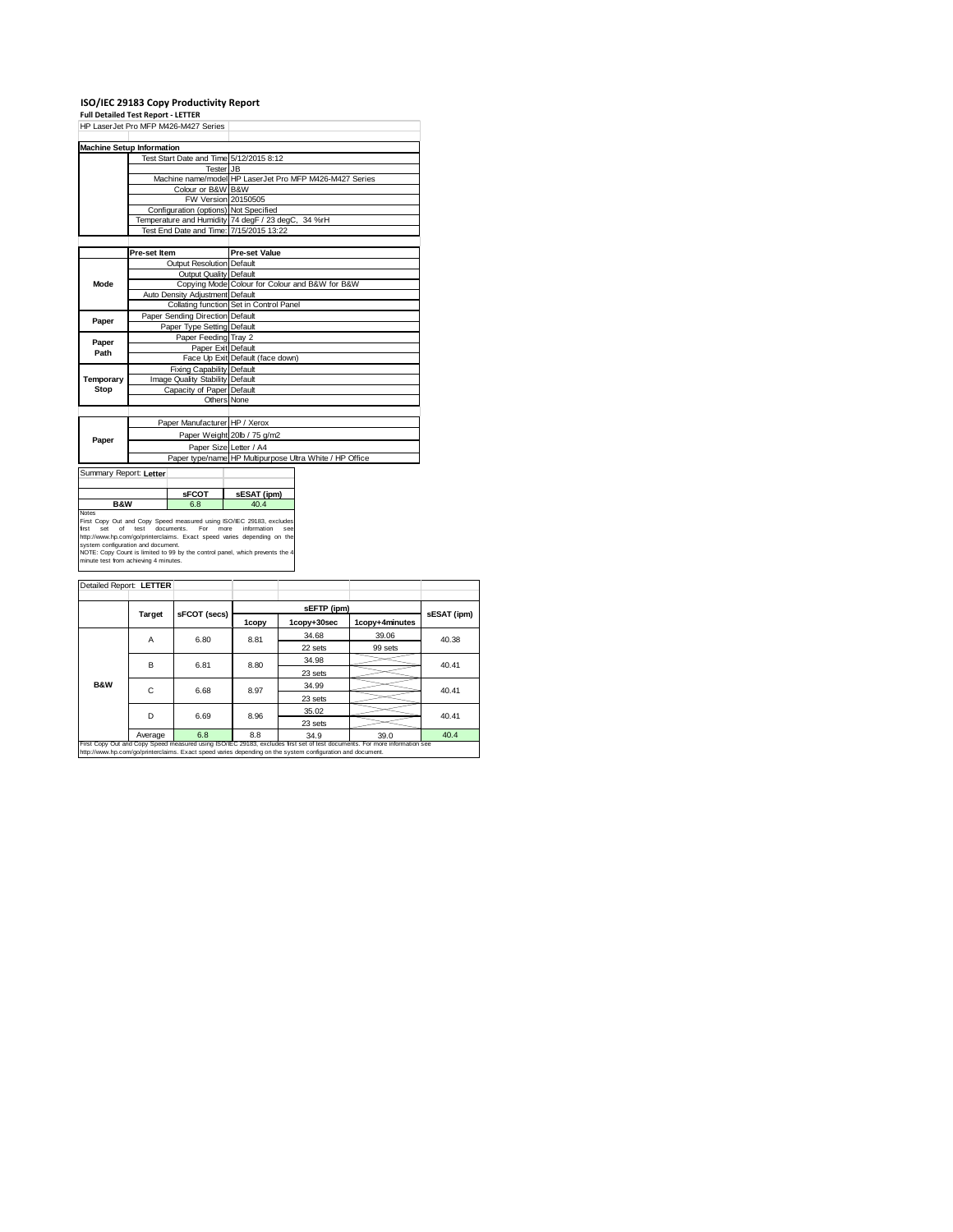# **ISO/IEC 29183 Copy Productivity Report Full Detailed Test Report ‐ LETTER**

|                                                                                                            |                                 | HP LaserJet Pro MFP M426-M427 Series  |                                                                                                                                                                                                                                                               |                                                         |  |  |
|------------------------------------------------------------------------------------------------------------|---------------------------------|---------------------------------------|---------------------------------------------------------------------------------------------------------------------------------------------------------------------------------------------------------------------------------------------------------------|---------------------------------------------------------|--|--|
| <b>Machine Setup Information</b>                                                                           |                                 |                                       |                                                                                                                                                                                                                                                               |                                                         |  |  |
|                                                                                                            |                                 |                                       | Test Start Date and Time 5/12/2015 8:12                                                                                                                                                                                                                       |                                                         |  |  |
|                                                                                                            |                                 | <b>Tester JB</b>                      |                                                                                                                                                                                                                                                               |                                                         |  |  |
|                                                                                                            |                                 |                                       |                                                                                                                                                                                                                                                               | Machine name/model HP LaserJet Pro MFP M426-M427 Series |  |  |
|                                                                                                            |                                 | Colour or B&W B&W                     |                                                                                                                                                                                                                                                               |                                                         |  |  |
|                                                                                                            |                                 |                                       | FW Version 20150505                                                                                                                                                                                                                                           |                                                         |  |  |
|                                                                                                            |                                 | Configuration (options) Not Specified |                                                                                                                                                                                                                                                               |                                                         |  |  |
|                                                                                                            |                                 |                                       | Temperature and Humidity 74 degF / 23 degC, 34 %rH                                                                                                                                                                                                            |                                                         |  |  |
|                                                                                                            |                                 |                                       | Test End Date and Time: 7/15/2015 13:22                                                                                                                                                                                                                       |                                                         |  |  |
|                                                                                                            |                                 |                                       |                                                                                                                                                                                                                                                               |                                                         |  |  |
|                                                                                                            | Pre-set Item                    |                                       | <b>Pre-set Value</b>                                                                                                                                                                                                                                          |                                                         |  |  |
|                                                                                                            |                                 | Output Resolution Default             |                                                                                                                                                                                                                                                               |                                                         |  |  |
|                                                                                                            | Output Quality Default          |                                       |                                                                                                                                                                                                                                                               |                                                         |  |  |
| Mode                                                                                                       |                                 |                                       | Copying Mode Colour for Colour and B&W for B&W                                                                                                                                                                                                                |                                                         |  |  |
|                                                                                                            | Auto Density Adjustment Default |                                       |                                                                                                                                                                                                                                                               |                                                         |  |  |
|                                                                                                            |                                 |                                       | Collating function Set in Control Panel                                                                                                                                                                                                                       |                                                         |  |  |
| Paper                                                                                                      | Paper Sending Direction Default |                                       |                                                                                                                                                                                                                                                               |                                                         |  |  |
|                                                                                                            | Paper Type Setting Default      |                                       |                                                                                                                                                                                                                                                               |                                                         |  |  |
| Paper                                                                                                      | Paper Feeding Tray 2            |                                       |                                                                                                                                                                                                                                                               |                                                         |  |  |
| Path                                                                                                       |                                 | Paper Exit Default                    |                                                                                                                                                                                                                                                               |                                                         |  |  |
|                                                                                                            |                                 |                                       | Face Up Exit Default (face down)                                                                                                                                                                                                                              |                                                         |  |  |
|                                                                                                            |                                 | Fixing Capability Default             |                                                                                                                                                                                                                                                               |                                                         |  |  |
| Temporary                                                                                                  |                                 | Image Quality Stability Default       |                                                                                                                                                                                                                                                               |                                                         |  |  |
| Stop                                                                                                       |                                 | Capacity of Paper Default             |                                                                                                                                                                                                                                                               |                                                         |  |  |
|                                                                                                            |                                 |                                       | Others None                                                                                                                                                                                                                                                   |                                                         |  |  |
|                                                                                                            |                                 |                                       |                                                                                                                                                                                                                                                               |                                                         |  |  |
|                                                                                                            |                                 | Paper Manufacturer HP / Xerox         |                                                                                                                                                                                                                                                               |                                                         |  |  |
| Paper                                                                                                      |                                 |                                       | Paper Weight 20lb / 75 g/m2                                                                                                                                                                                                                                   |                                                         |  |  |
|                                                                                                            |                                 |                                       | Paper Size Letter / A4                                                                                                                                                                                                                                        |                                                         |  |  |
|                                                                                                            |                                 |                                       |                                                                                                                                                                                                                                                               | Paper type/name HP Multipurpose Ultra White / HP Office |  |  |
| Summary Report: Letter                                                                                     |                                 |                                       |                                                                                                                                                                                                                                                               |                                                         |  |  |
|                                                                                                            |                                 |                                       |                                                                                                                                                                                                                                                               |                                                         |  |  |
| <b>SFCOT</b>                                                                                               |                                 | sESAT (ipm)                           |                                                                                                                                                                                                                                                               |                                                         |  |  |
| <b>B&amp;W</b><br>6.8                                                                                      |                                 | 40.4                                  |                                                                                                                                                                                                                                                               |                                                         |  |  |
| Notes<br>first<br>of<br>Set<br>system configuration and document.<br>minute test from achieving 4 minutes. | test                            | documents.<br>For                     | First Copy Out and Copy Speed measured using ISO/IEC 29183, excludes<br>more<br>information<br>see<br>http://www.hp.com/go/printerclaims. Exact speed varies depending on the<br>NOTE: Copy Count is limited to 99 by the control panel, which prevents the 4 |                                                         |  |  |

|                | Detailed Report: LETTER |              |       |             |                |             |  |
|----------------|-------------------------|--------------|-------|-------------|----------------|-------------|--|
|                |                         | sFCOT (secs) |       | sEFTP (ipm) |                |             |  |
|                | Target                  |              | 1copy | 1copy+30sec | 1copy+4minutes | sESAT (ipm) |  |
|                | Α                       | 6.80         | 8.81  | 34.68       | 39.06          | 40.38       |  |
|                |                         |              |       | 22 sets     | 99 sets        |             |  |
|                | B                       | 6.81         | 8.80  | 34.98       |                | 40.41       |  |
|                |                         |              |       | 23 sets     |                |             |  |
| <b>B&amp;W</b> | C                       | 6.68         | 8.97  | 34.99       |                | 40.41       |  |
|                |                         |              |       | 23 sets     |                |             |  |
|                | D                       | 6.69         | 8.96  | 35.02       |                | 40.41       |  |
|                |                         |              |       | 23 sets     |                |             |  |
|                | Average                 | 6.8          | 8.8   | 34.9        | 39.0           | 40.4        |  |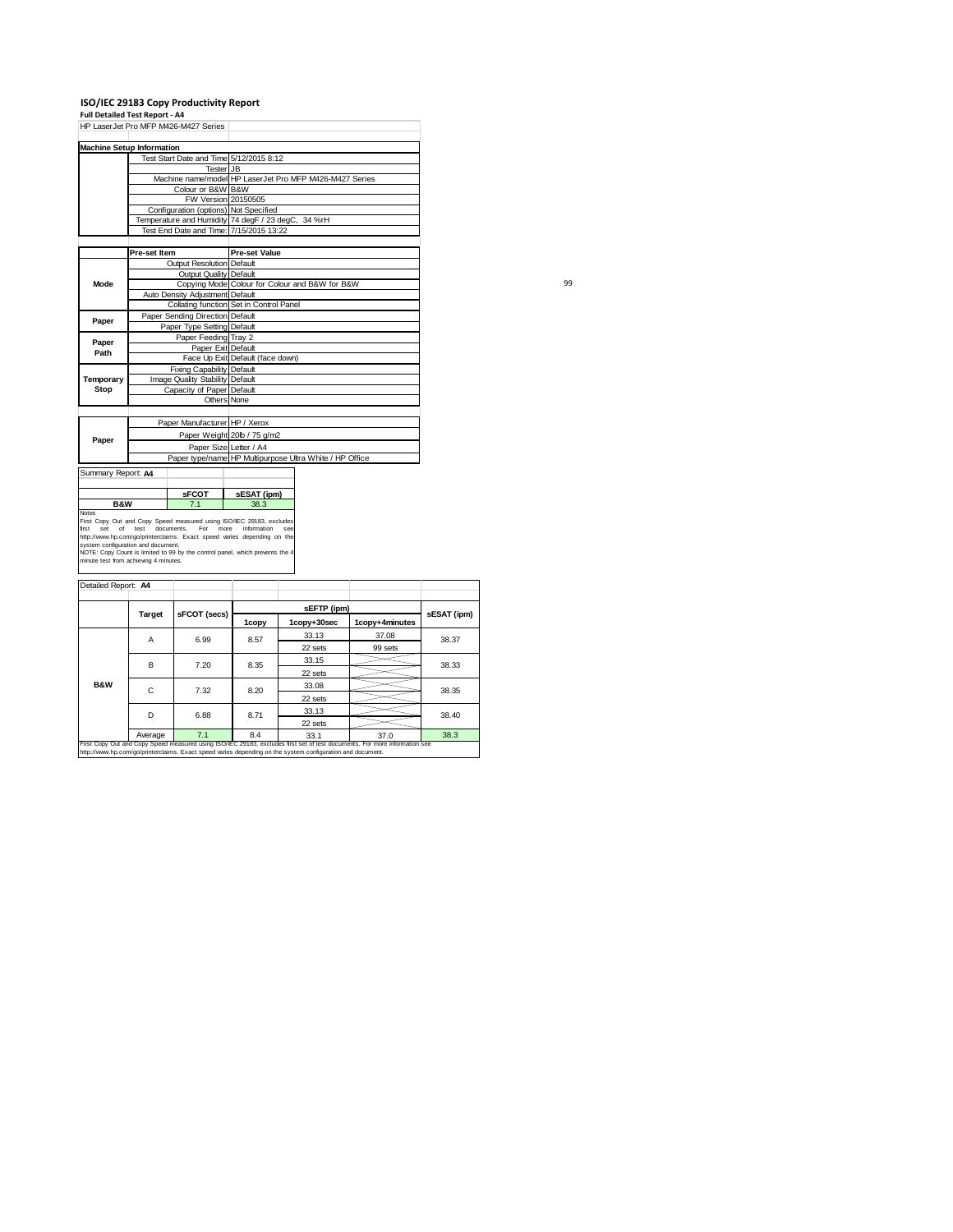**ISO/IEC 29183 Copy Productivity Report Full Detailed Test Report ‐ A4** HP LaserJet Pro MFP M426-M427 Series

| <b>Machine Setup Information</b> |                                            |                                       |                                                                                                                                                                               |  |  |
|----------------------------------|--------------------------------------------|---------------------------------------|-------------------------------------------------------------------------------------------------------------------------------------------------------------------------------|--|--|
|                                  |                                            |                                       | Test Start Date and Time 5/12/2015 8:12                                                                                                                                       |  |  |
|                                  |                                            | Tester JB                             |                                                                                                                                                                               |  |  |
|                                  |                                            |                                       | Machine name/model HP LaserJet Pro MFP M426-M427 Series                                                                                                                       |  |  |
|                                  |                                            | Colour or B&W B&W                     |                                                                                                                                                                               |  |  |
|                                  |                                            |                                       | FW Version 20150505                                                                                                                                                           |  |  |
|                                  |                                            | Configuration (options) Not Specified |                                                                                                                                                                               |  |  |
|                                  |                                            |                                       | Temperature and Humidity 74 degF / 23 degC, 34 %rH                                                                                                                            |  |  |
|                                  |                                            |                                       | Test End Date and Time: 7/15/2015 13:22                                                                                                                                       |  |  |
|                                  |                                            |                                       |                                                                                                                                                                               |  |  |
|                                  | Pre-set Item                               |                                       | <b>Pre-set Value</b>                                                                                                                                                          |  |  |
|                                  |                                            | Output Resolution Default             |                                                                                                                                                                               |  |  |
|                                  |                                            | Output Quality Default                |                                                                                                                                                                               |  |  |
| Mode                             |                                            |                                       | Copying Mode Colour for Colour and B&W for B&W                                                                                                                                |  |  |
|                                  |                                            | Auto Density Adjustment Default       |                                                                                                                                                                               |  |  |
|                                  |                                            |                                       | Collating function Set in Control Panel                                                                                                                                       |  |  |
| Paper                            |                                            | Paper Sending Direction Default       |                                                                                                                                                                               |  |  |
|                                  | Paper Type Setting Default                 |                                       |                                                                                                                                                                               |  |  |
| Paper                            |                                            | Paper Feeding Tray 2                  |                                                                                                                                                                               |  |  |
| Path                             | Paper Exit Default                         |                                       |                                                                                                                                                                               |  |  |
|                                  |                                            |                                       | Face Up Exit Default (face down)                                                                                                                                              |  |  |
|                                  |                                            | Fixing Capability Default             |                                                                                                                                                                               |  |  |
| Temporary                        |                                            | Image Quality Stability Default       |                                                                                                                                                                               |  |  |
| Stop                             |                                            | Capacity of Paper Default             |                                                                                                                                                                               |  |  |
|                                  |                                            |                                       | Others None                                                                                                                                                                   |  |  |
|                                  |                                            |                                       |                                                                                                                                                                               |  |  |
|                                  |                                            | Paper Manufacturer HP / Xerox         |                                                                                                                                                                               |  |  |
|                                  |                                            |                                       | Paper Weight 20lb / 75 g/m2                                                                                                                                                   |  |  |
| Paper                            |                                            |                                       | Paper Size Letter / A4                                                                                                                                                        |  |  |
|                                  |                                            |                                       | Paper type/name HP Multipurpose Ultra White / HP Office                                                                                                                       |  |  |
| Summary Report: A4               |                                            |                                       |                                                                                                                                                                               |  |  |
|                                  |                                            |                                       |                                                                                                                                                                               |  |  |
|                                  |                                            | <b>SFCOT</b>                          | sESAT (ipm)                                                                                                                                                                   |  |  |
| <b>B&amp;W</b><br>7.1            |                                            |                                       | 38.3                                                                                                                                                                          |  |  |
| Notes<br>first<br>Set<br>of      | test<br>system configuration and document. | documents.<br>For                     | First Copy Out and Copy Speed measured using ISO/IEC 29183, excludes<br>more<br>information<br>SAR<br>http://www.hp.com/go/printerclaims. Exact speed varies depending on the |  |  |

99

| Detailed Report: A4 |         |              |       |                                                                                                            |                                                                                                                            |             |         |  |  |
|---------------------|---------|--------------|-------|------------------------------------------------------------------------------------------------------------|----------------------------------------------------------------------------------------------------------------------------|-------------|---------|--|--|
|                     |         |              |       |                                                                                                            |                                                                                                                            |             |         |  |  |
|                     | Target  | sFCOT (secs) |       | sEFTP (ipm)                                                                                                |                                                                                                                            | sESAT (ipm) |         |  |  |
|                     |         |              | 1copy | 1copy+4minutes<br>1copy+30sec                                                                              |                                                                                                                            |             |         |  |  |
|                     | Α       | 6.99         | 8.57  | 33.13                                                                                                      | 37.08                                                                                                                      | 38.37       |         |  |  |
|                     |         |              |       | 22 sets                                                                                                    | 99 sets                                                                                                                    |             |         |  |  |
|                     | B       | 7.20         | 8.35  | 33.15                                                                                                      |                                                                                                                            | 38.33       |         |  |  |
|                     |         |              |       | 22 sets                                                                                                    |                                                                                                                            |             |         |  |  |
| <b>B&amp;W</b>      | C       | 7.32         | 8.20  | 33.08                                                                                                      |                                                                                                                            | 38.35       |         |  |  |
|                     |         |              |       |                                                                                                            |                                                                                                                            |             | 22 sets |  |  |
|                     | D       | 6.88         | 8.71  | 33.13                                                                                                      |                                                                                                                            | 38.40       |         |  |  |
|                     |         |              |       | 22 sets                                                                                                    |                                                                                                                            |             |         |  |  |
|                     | Average | 7.1          | 8.4   | 33.1                                                                                                       | 37.0                                                                                                                       | 38.3        |         |  |  |
|                     |         |              |       | http://www.hp.com/go/printerclaims. Exact speed varies depending on the system configuration and document. | First Copy Out and Copy Speed measured using ISO/IEC 29183, excludes first set of test documents. For more information see |             |         |  |  |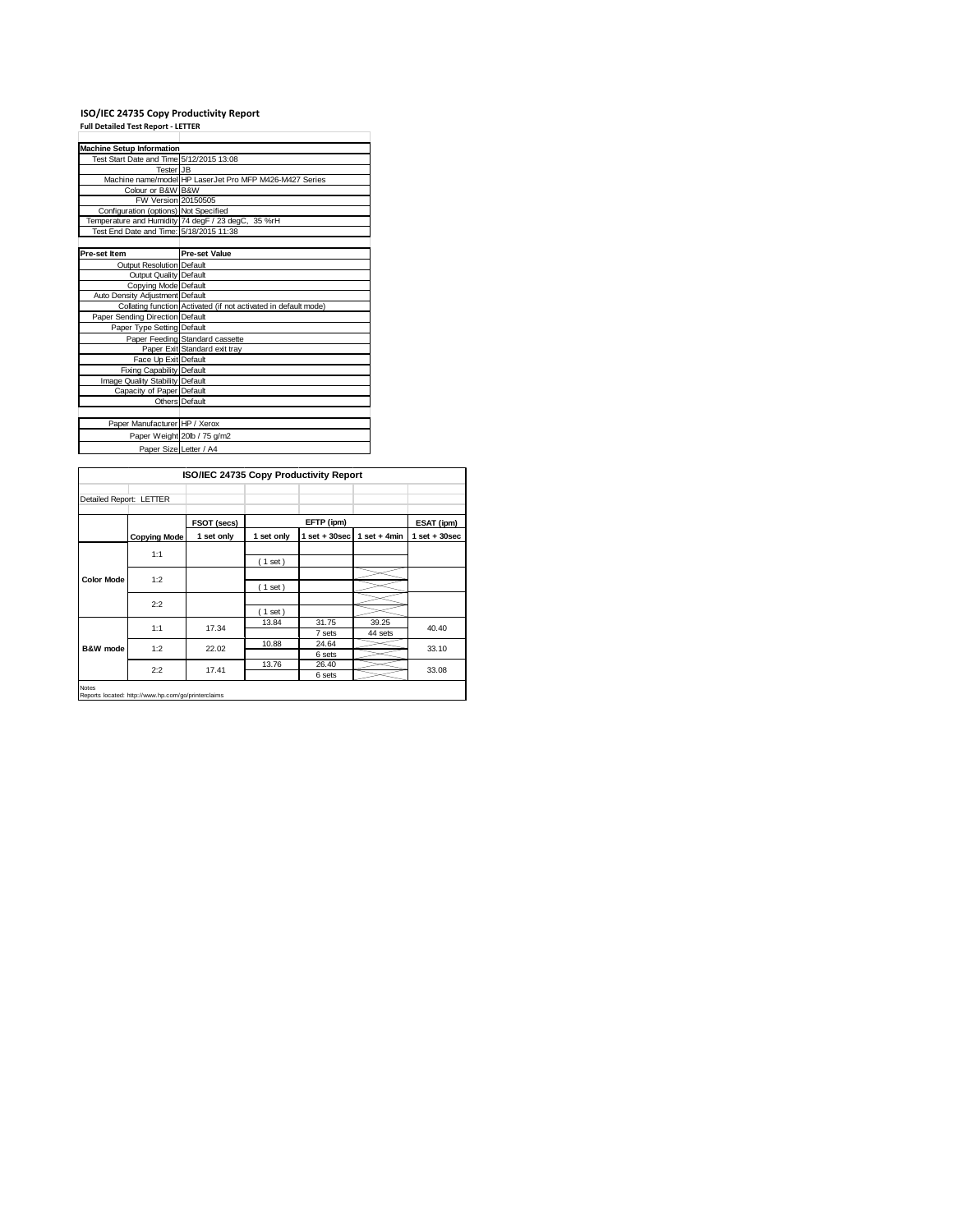## **ISO/IEC 24735 Copy Productivity Report Full Detailed Test Report ‐ LETTER**

| <b>Machine Setup Information</b>         |                                                                 |
|------------------------------------------|-----------------------------------------------------------------|
| Test Start Date and Time 5/12/2015 13:08 |                                                                 |
| Tester JB                                |                                                                 |
|                                          | Machine name/model HP LaserJet Pro MFP M426-M427 Series         |
| Colour or B&W B&W                        |                                                                 |
| FW Version 20150505                      |                                                                 |
| Configuration (options) Not Specified    |                                                                 |
|                                          | Temperature and Humidity 74 degF / 23 degC, 35 %rH              |
| Test End Date and Time: 5/18/2015 11:38  |                                                                 |
|                                          |                                                                 |
| Pre-set Item                             | <b>Pre-set Value</b>                                            |
| Output Resolution Default                |                                                                 |
| Output Quality Default                   |                                                                 |
| Copying Mode Default                     |                                                                 |
| Auto Density Adjustment Default          |                                                                 |
|                                          | Collating function Activated (if not activated in default mode) |
| Paper Sending Direction Default          |                                                                 |
| Paper Type Setting Default               |                                                                 |
|                                          | Paper Feeding Standard cassette                                 |
|                                          | Paper Exit Standard exit tray                                   |
| Face Up Exit Default                     |                                                                 |
| Fixing Capability Default                |                                                                 |
| Image Quality Stability Default          |                                                                 |
| Capacity of Paper Default                |                                                                 |
|                                          | Others Default                                                  |
|                                          |                                                                 |
| Paper Manufacturer HP / Xerox            |                                                                 |
|                                          | Paper Weight 20lb / 75 g/m2                                     |
| Paper Size Letter / A4                   |                                                                 |

|                         |                     | ISO/IEC 24735 Copy Productivity Report |            |                 |                  |                   |
|-------------------------|---------------------|----------------------------------------|------------|-----------------|------------------|-------------------|
| Detailed Report: LETTER |                     |                                        |            |                 |                  |                   |
|                         |                     | FSOT (secs)                            |            | EFTP (ipm)      |                  | ESAT (ipm)        |
|                         | <b>Copying Mode</b> | 1 set only                             | 1 set only | $1$ set + 30sec | $1$ set + 4min   | $1$ set $+30$ sec |
|                         | 1:1                 |                                        | (1 set)    |                 |                  |                   |
| <b>Color Mode</b>       | 1:2                 |                                        | $(1$ set)  |                 |                  |                   |
|                         | 2:2                 |                                        | (1 set)    |                 |                  |                   |
|                         | 1:1                 | 17.34                                  | 13.84      | 31.75<br>7 sets | 39.25<br>44 sets | 40.40             |
| <b>B&amp;W</b> mode     | 1:2                 | 22.02                                  | 10.88      | 24.64<br>6 sets |                  | 33.10             |
|                         | 2:2                 | 17.41                                  | 13.76      | 26.40<br>6 sets |                  | 33.08             |

Notes Reports located: http://www.hp.com/go/printerclaims